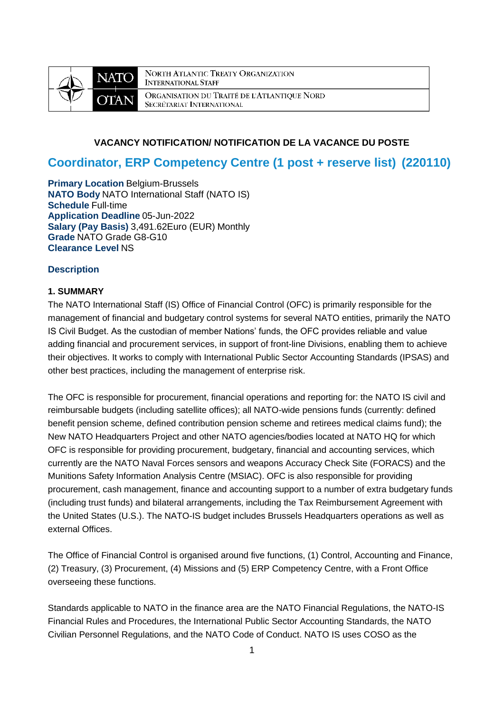

NORTH ATLANTIC TREATY ORGANIZATION **INTERNATIONAL STAFF** ORGANISATION DU TRAITÉ DE L'ATLANTIQUE NORD SECRÉTARIAT INTERNATIONAL

# **VACANCY NOTIFICATION/ NOTIFICATION DE LA VACANCE DU POSTE**

# **Coordinator, ERP Competency Centre (1 post + reserve list) (220110)**

**Primary Location** Belgium-Brussels **NATO Body** NATO International Staff (NATO IS) **Schedule** Full-time **Application Deadline** 05-Jun-2022 **Salary (Pay Basis)** 3,491.62Euro (EUR) Monthly **Grade** NATO Grade G8-G10 **Clearance Level** NS

## **Description**

## **1. SUMMARY**

The NATO International Staff (IS) Office of Financial Control (OFC) is primarily responsible for the management of financial and budgetary control systems for several NATO entities, primarily the NATO IS Civil Budget. As the custodian of member Nations' funds, the OFC provides reliable and value adding financial and procurement services, in support of front-line Divisions, enabling them to achieve their objectives. It works to comply with International Public Sector Accounting Standards (IPSAS) and other best practices, including the management of enterprise risk.

The OFC is responsible for procurement, financial operations and reporting for: the NATO IS civil and reimbursable budgets (including satellite offices); all NATO-wide pensions funds (currently: defined benefit pension scheme, defined contribution pension scheme and retirees medical claims fund); the New NATO Headquarters Project and other NATO agencies/bodies located at NATO HQ for which OFC is responsible for providing procurement, budgetary, financial and accounting services, which currently are the NATO Naval Forces sensors and weapons Accuracy Check Site (FORACS) and the Munitions Safety Information Analysis Centre (MSIAC). OFC is also responsible for providing procurement, cash management, finance and accounting support to a number of extra budgetary funds (including trust funds) and bilateral arrangements, including the Tax Reimbursement Agreement with the United States (U.S.). The NATO-IS budget includes Brussels Headquarters operations as well as external Offices.

The Office of Financial Control is organised around five functions, (1) Control, Accounting and Finance, (2) Treasury, (3) Procurement, (4) Missions and (5) ERP Competency Centre, with a Front Office overseeing these functions.

Standards applicable to NATO in the finance area are the NATO Financial Regulations, the NATO-IS Financial Rules and Procedures, the International Public Sector Accounting Standards, the NATO Civilian Personnel Regulations, and the NATO Code of Conduct. NATO IS uses COSO as the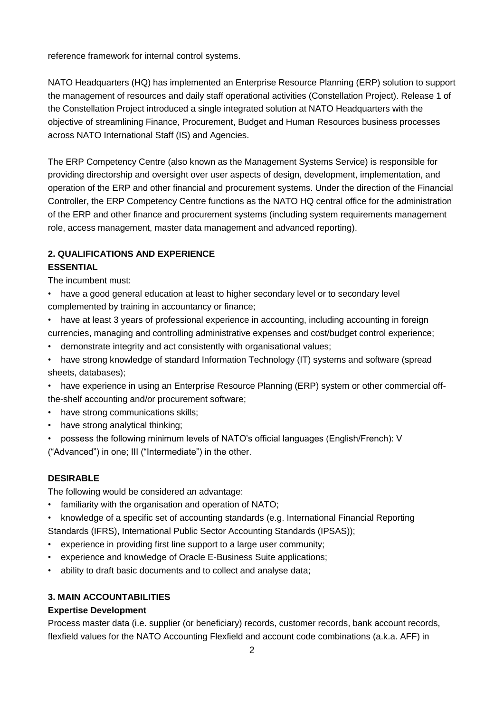reference framework for internal control systems.

NATO Headquarters (HQ) has implemented an Enterprise Resource Planning (ERP) solution to support the management of resources and daily staff operational activities (Constellation Project). Release 1 of the Constellation Project introduced a single integrated solution at NATO Headquarters with the objective of streamlining Finance, Procurement, Budget and Human Resources business processes across NATO International Staff (IS) and Agencies.

The ERP Competency Centre (also known as the Management Systems Service) is responsible for providing directorship and oversight over user aspects of design, development, implementation, and operation of the ERP and other financial and procurement systems. Under the direction of the Financial Controller, the ERP Competency Centre functions as the NATO HQ central office for the administration of the ERP and other finance and procurement systems (including system requirements management role, access management, master data management and advanced reporting).

# **2. QUALIFICATIONS AND EXPERIENCE**

# **ESSENTIAL**

The incumbent must:

- have a good general education at least to higher secondary level or to secondary level complemented by training in accountancy or finance;
- have at least 3 years of professional experience in accounting, including accounting in foreign currencies, managing and controlling administrative expenses and cost/budget control experience;
- demonstrate integrity and act consistently with organisational values;
- have strong knowledge of standard Information Technology (IT) systems and software (spread sheets, databases);

• have experience in using an Enterprise Resource Planning (ERP) system or other commercial offthe-shelf accounting and/or procurement software;

- have strong communications skills;
- have strong analytical thinking;
- possess the following minimum levels of NATO's official languages (English/French): V

("Advanced") in one; III ("Intermediate") in the other.

# **DESIRABLE**

The following would be considered an advantage:

- familiarity with the organisation and operation of NATO;
- knowledge of a specific set of accounting standards (e.g. International Financial Reporting Standards (IFRS), International Public Sector Accounting Standards (IPSAS));
- experience in providing first line support to a large user community;
- experience and knowledge of Oracle E-Business Suite applications;
- ability to draft basic documents and to collect and analyse data;

# **3. MAIN ACCOUNTABILITIES**

# **Expertise Development**

Process master data (i.e. supplier (or beneficiary) records, customer records, bank account records, flexfield values for the NATO Accounting Flexfield and account code combinations (a.k.a. AFF) in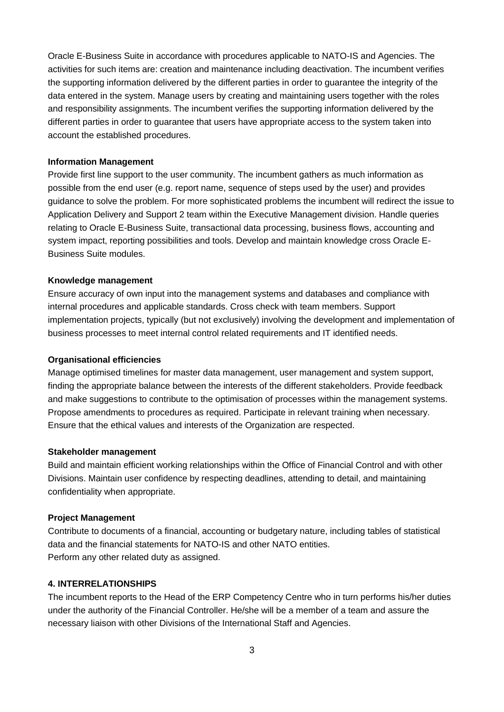Oracle E-Business Suite in accordance with procedures applicable to NATO-IS and Agencies. The activities for such items are: creation and maintenance including deactivation. The incumbent verifies the supporting information delivered by the different parties in order to guarantee the integrity of the data entered in the system. Manage users by creating and maintaining users together with the roles and responsibility assignments. The incumbent verifies the supporting information delivered by the different parties in order to guarantee that users have appropriate access to the system taken into account the established procedures.

### **Information Management**

Provide first line support to the user community. The incumbent gathers as much information as possible from the end user (e.g. report name, sequence of steps used by the user) and provides guidance to solve the problem. For more sophisticated problems the incumbent will redirect the issue to Application Delivery and Support 2 team within the Executive Management division. Handle queries relating to Oracle E-Business Suite, transactional data processing, business flows, accounting and system impact, reporting possibilities and tools. Develop and maintain knowledge cross Oracle E-Business Suite modules.

### **Knowledge management**

Ensure accuracy of own input into the management systems and databases and compliance with internal procedures and applicable standards. Cross check with team members. Support implementation projects, typically (but not exclusively) involving the development and implementation of business processes to meet internal control related requirements and IT identified needs.

### **Organisational efficiencies**

Manage optimised timelines for master data management, user management and system support, finding the appropriate balance between the interests of the different stakeholders. Provide feedback and make suggestions to contribute to the optimisation of processes within the management systems. Propose amendments to procedures as required. Participate in relevant training when necessary. Ensure that the ethical values and interests of the Organization are respected.

### **Stakeholder management**

Build and maintain efficient working relationships within the Office of Financial Control and with other Divisions. Maintain user confidence by respecting deadlines, attending to detail, and maintaining confidentiality when appropriate.

### **Project Management**

Contribute to documents of a financial, accounting or budgetary nature, including tables of statistical data and the financial statements for NATO-IS and other NATO entities. Perform any other related duty as assigned.

### **4. INTERRELATIONSHIPS**

The incumbent reports to the Head of the ERP Competency Centre who in turn performs his/her duties under the authority of the Financial Controller. He/she will be a member of a team and assure the necessary liaison with other Divisions of the International Staff and Agencies.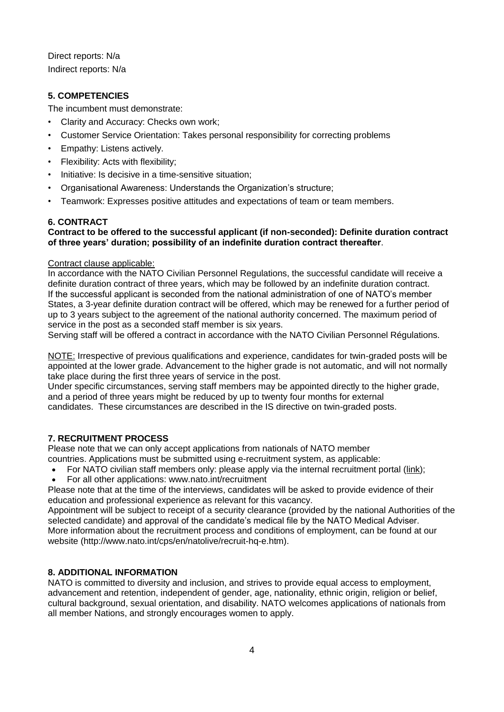Direct reports: N/a Indirect reports: N/a

# **5. COMPETENCIES**

The incumbent must demonstrate:

- Clarity and Accuracy: Checks own work;
- Customer Service Orientation: Takes personal responsibility for correcting problems
- Empathy: Listens actively.
- Flexibility: Acts with flexibility;
- Initiative: Is decisive in a time-sensitive situation;
- Organisational Awareness: Understands the Organization's structure;
- Teamwork: Expresses positive attitudes and expectations of team or team members.

### **6. CONTRACT**

## **Contract to be offered to the successful applicant (if non-seconded): Definite duration contract of three years' duration; possibility of an indefinite duration contract thereafter**.

### Contract clause applicable:

In accordance with the NATO Civilian Personnel Regulations, the successful candidate will receive a definite duration contract of three years, which may be followed by an indefinite duration contract. If the successful applicant is seconded from the national administration of one of NATO's member States, a 3-year definite duration contract will be offered, which may be renewed for a further period of up to 3 years subject to the agreement of the national authority concerned. The maximum period of service in the post as a seconded staff member is six years.

Serving staff will be offered a contract in accordance with the NATO Civilian Personnel Régulations.

NOTE: Irrespective of previous qualifications and experience, candidates for twin-graded posts will be appointed at the lower grade. Advancement to the higher grade is not automatic, and will not normally take place during the first three years of service in the post.

Under specific circumstances, serving staff members may be appointed directly to the higher grade, and a period of three years might be reduced by up to twenty four months for external candidates. These circumstances are described in the IS directive on twin-graded posts.

# **7. RECRUITMENT PROCESS**

Please note that we can only accept applications from nationals of NATO member countries. Applications must be submitted using e-recruitment system, as applicable:

- For NATO civilian staff members only: please apply via the internal recruitment portal [\(link\)](https://nato.taleo.net/careersection/1/jobsearch.ftl?lang=en);
- For all other applications: www.nato.int/recruitment

Please note that at the time of the interviews, candidates will be asked to provide evidence of their education and professional experience as relevant for this vacancy.

Appointment will be subject to receipt of a security clearance (provided by the national Authorities of the selected candidate) and approval of the candidate's medical file by the NATO Medical Adviser. More information about the recruitment process and conditions of employment, can be found at our website (http://www.nato.int/cps/en/natolive/recruit-hq-e.htm).

### **8. ADDITIONAL INFORMATION**

NATO is committed to diversity and inclusion, and strives to provide equal access to employment, advancement and retention, independent of gender, age, nationality, ethnic origin, religion or belief, cultural background, sexual orientation, and disability. NATO welcomes applications of nationals from all member Nations, and strongly encourages women to apply.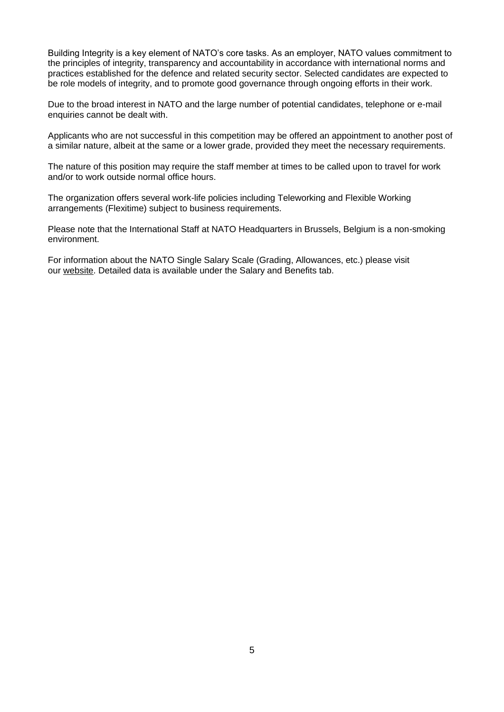Building Integrity is a key element of NATO's core tasks. As an employer, NATO values commitment to the principles of integrity, transparency and accountability in accordance with international norms and practices established for the defence and related security sector. Selected candidates are expected to be role models of integrity, and to promote good governance through ongoing efforts in their work.

Due to the broad interest in NATO and the large number of potential candidates, telephone or e-mail enquiries cannot be dealt with.

Applicants who are not successful in this competition may be offered an appointment to another post of a similar nature, albeit at the same or a lower grade, provided they meet the necessary requirements.

The nature of this position may require the staff member at times to be called upon to travel for work and/or to work outside normal office hours.

The organization offers several work-life policies including Teleworking and Flexible Working arrangements (Flexitime) subject to business requirements.

Please note that the International Staff at NATO Headquarters in Brussels, Belgium is a non-smoking environment.

For information about the NATO Single Salary Scale (Grading, Allowances, etc.) please visit our [website.](https://www.nato.int/cps/en/natolive/86790.htm) Detailed data is available under the Salary and Benefits tab.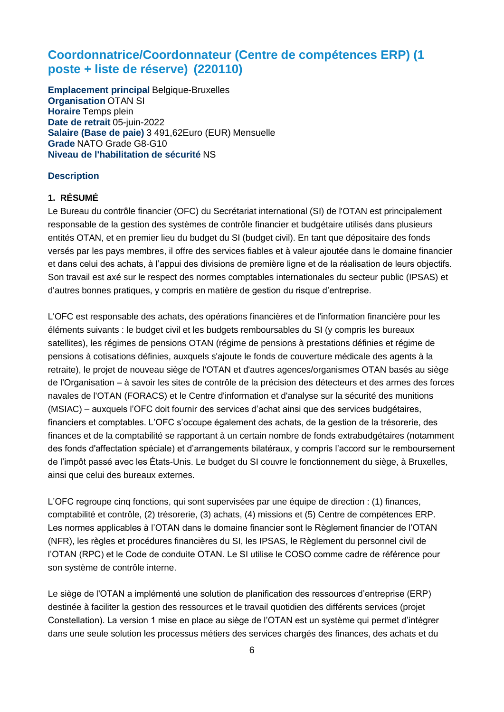# **Coordonnatrice/Coordonnateur (Centre de compétences ERP) (1 poste + liste de réserve) (220110)**

**Emplacement principal Belgique-Bruxelles Organisation** OTAN SI **Horaire** Temps plein **Date de retrait** 05-juin-2022 **Salaire (Base de paie)** 3 491,62Euro (EUR) Mensuelle **Grade** NATO Grade G8-G10 **Niveau de l'habilitation de sécurité** NS

# **Description**

# **1. RÉSUMÉ**

Le Bureau du contrôle financier (OFC) du Secrétariat international (SI) de l'OTAN est principalement responsable de la gestion des systèmes de contrôle financier et budgétaire utilisés dans plusieurs entités OTAN, et en premier lieu du budget du SI (budget civil). En tant que dépositaire des fonds versés par les pays membres, il offre des services fiables et à valeur ajoutée dans le domaine financier et dans celui des achats, à l'appui des divisions de première ligne et de la réalisation de leurs objectifs. Son travail est axé sur le respect des normes comptables internationales du secteur public (IPSAS) et d'autres bonnes pratiques, y compris en matière de gestion du risque d'entreprise.

L'OFC est responsable des achats, des opérations financières et de l'information financière pour les éléments suivants : le budget civil et les budgets remboursables du SI (y compris les bureaux satellites), les régimes de pensions OTAN (régime de pensions à prestations définies et régime de pensions à cotisations définies, auxquels s'ajoute le fonds de couverture médicale des agents à la retraite), le projet de nouveau siège de l'OTAN et d'autres agences/organismes OTAN basés au siège de l'Organisation – à savoir les sites de contrôle de la précision des détecteurs et des armes des forces navales de l'OTAN (FORACS) et le Centre d'information et d'analyse sur la sécurité des munitions (MSIAC) – auxquels l'OFC doit fournir des services d'achat ainsi que des services budgétaires, financiers et comptables. L'OFC s'occupe également des achats, de la gestion de la trésorerie, des finances et de la comptabilité se rapportant à un certain nombre de fonds extrabudgétaires (notamment des fonds d'affectation spéciale) et d'arrangements bilatéraux, y compris l'accord sur le remboursement de l'impôt passé avec les États-Unis. Le budget du SI couvre le fonctionnement du siège, à Bruxelles, ainsi que celui des bureaux externes.

L'OFC regroupe cinq fonctions, qui sont supervisées par une équipe de direction : (1) finances, comptabilité et contrôle, (2) trésorerie, (3) achats, (4) missions et (5) Centre de compétences ERP. Les normes applicables à l'OTAN dans le domaine financier sont le Règlement financier de l'OTAN (NFR), les règles et procédures financières du SI, les IPSAS, le Règlement du personnel civil de l'OTAN (RPC) et le Code de conduite OTAN. Le SI utilise le COSO comme cadre de référence pour son système de contrôle interne.

Le siège de l'OTAN a implémenté une solution de planification des ressources d'entreprise (ERP) destinée à faciliter la gestion des ressources et le travail quotidien des différents services (projet Constellation). La version 1 mise en place au siège de l'OTAN est un système qui permet d'intégrer dans une seule solution les processus métiers des services chargés des finances, des achats et du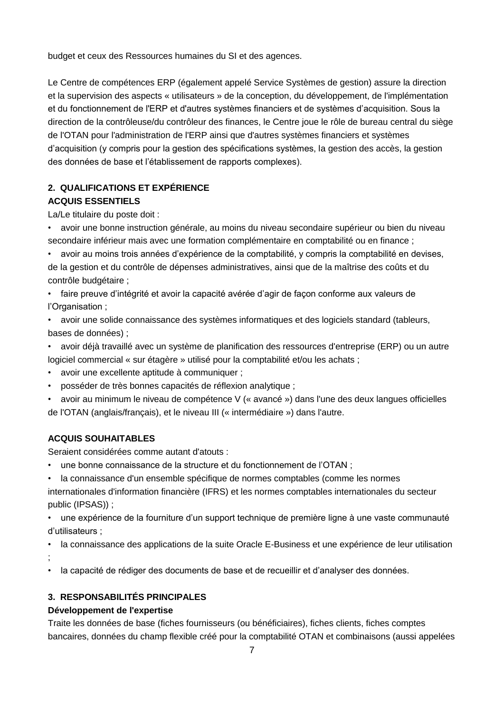budget et ceux des Ressources humaines du SI et des agences.

Le Centre de compétences ERP (également appelé Service Systèmes de gestion) assure la direction et la supervision des aspects « utilisateurs » de la conception, du développement, de l'implémentation et du fonctionnement de l'ERP et d'autres systèmes financiers et de systèmes d'acquisition. Sous la direction de la contrôleuse/du contrôleur des finances, le Centre joue le rôle de bureau central du siège de l'OTAN pour l'administration de l'ERP ainsi que d'autres systèmes financiers et systèmes d'acquisition (y compris pour la gestion des spécifications systèmes, la gestion des accès, la gestion des données de base et l'établissement de rapports complexes).

# **2. QUALIFICATIONS ET EXPÉRIENCE ACQUIS ESSENTIELS**

La/Le titulaire du poste doit :

• avoir une bonne instruction générale, au moins du niveau secondaire supérieur ou bien du niveau secondaire inférieur mais avec une formation complémentaire en comptabilité ou en finance ;

• avoir au moins trois années d'expérience de la comptabilité, y compris la comptabilité en devises, de la gestion et du contrôle de dépenses administratives, ainsi que de la maîtrise des coûts et du contrôle budgétaire ;

• faire preuve d'intégrité et avoir la capacité avérée d'agir de façon conforme aux valeurs de l'Organisation ;

• avoir une solide connaissance des systèmes informatiques et des logiciels standard (tableurs, bases de données) ;

• avoir déjà travaillé avec un système de planification des ressources d'entreprise (ERP) ou un autre logiciel commercial « sur étagère » utilisé pour la comptabilité et/ou les achats ;

- avoir une excellente aptitude à communiquer ;
- posséder de très bonnes capacités de réflexion analytique ;

• avoir au minimum le niveau de compétence V (« avancé ») dans l'une des deux langues officielles de l'OTAN (anglais/français), et le niveau III (« intermédiaire ») dans l'autre.

# **ACQUIS SOUHAITABLES**

Seraient considérées comme autant d'atouts :

- une bonne connaissance de la structure et du fonctionnement de l'OTAN ;
- la connaissance d'un ensemble spécifique de normes comptables (comme les normes

internationales d'information financière (IFRS) et les normes comptables internationales du secteur public (IPSAS)) ;

• une expérience de la fourniture d'un support technique de première ligne à une vaste communauté d'utilisateurs ;

• la connaissance des applications de la suite Oracle E-Business et une expérience de leur utilisation ;

• la capacité de rédiger des documents de base et de recueillir et d'analyser des données.

# **3. RESPONSABILITÉS PRINCIPALES**

# **Développement de l'expertise**

Traite les données de base (fiches fournisseurs (ou bénéficiaires), fiches clients, fiches comptes bancaires, données du champ flexible créé pour la comptabilité OTAN et combinaisons (aussi appelées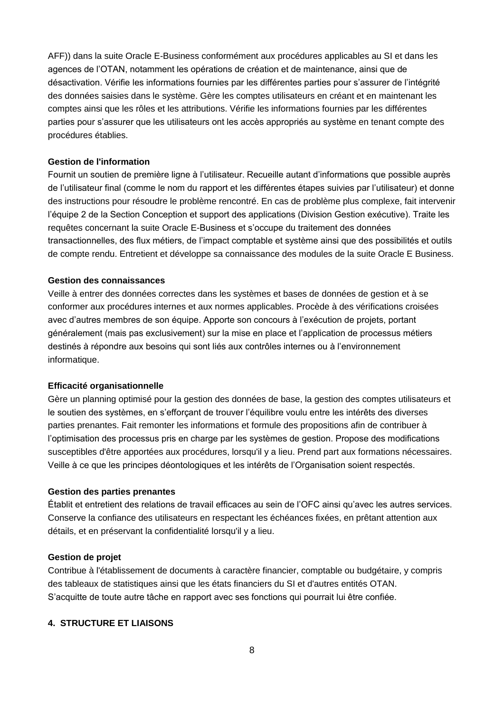AFF)) dans la suite Oracle E-Business conformément aux procédures applicables au SI et dans les agences de l'OTAN, notamment les opérations de création et de maintenance, ainsi que de désactivation. Vérifie les informations fournies par les différentes parties pour s'assurer de l'intégrité des données saisies dans le système. Gère les comptes utilisateurs en créant et en maintenant les comptes ainsi que les rôles et les attributions. Vérifie les informations fournies par les différentes parties pour s'assurer que les utilisateurs ont les accès appropriés au système en tenant compte des procédures établies.

### **Gestion de l'information**

Fournit un soutien de première ligne à l'utilisateur. Recueille autant d'informations que possible auprès de l'utilisateur final (comme le nom du rapport et les différentes étapes suivies par l'utilisateur) et donne des instructions pour résoudre le problème rencontré. En cas de problème plus complexe, fait intervenir l'équipe 2 de la Section Conception et support des applications (Division Gestion exécutive). Traite les requêtes concernant la suite Oracle E-Business et s'occupe du traitement des données transactionnelles, des flux métiers, de l'impact comptable et système ainsi que des possibilités et outils de compte rendu. Entretient et développe sa connaissance des modules de la suite Oracle E Business.

### **Gestion des connaissances**

Veille à entrer des données correctes dans les systèmes et bases de données de gestion et à se conformer aux procédures internes et aux normes applicables. Procède à des vérifications croisées avec d'autres membres de son équipe. Apporte son concours à l'exécution de projets, portant généralement (mais pas exclusivement) sur la mise en place et l'application de processus métiers destinés à répondre aux besoins qui sont liés aux contrôles internes ou à l'environnement informatique.

### **Efficacité organisationnelle**

Gère un planning optimisé pour la gestion des données de base, la gestion des comptes utilisateurs et le soutien des systèmes, en s'efforçant de trouver l'équilibre voulu entre les intérêts des diverses parties prenantes. Fait remonter les informations et formule des propositions afin de contribuer à l'optimisation des processus pris en charge par les systèmes de gestion. Propose des modifications susceptibles d'être apportées aux procédures, lorsqu'il y a lieu. Prend part aux formations nécessaires. Veille à ce que les principes déontologiques et les intérêts de l'Organisation soient respectés.

### **Gestion des parties prenantes**

Établit et entretient des relations de travail efficaces au sein de l'OFC ainsi qu'avec les autres services. Conserve la confiance des utilisateurs en respectant les échéances fixées, en prêtant attention aux détails, et en préservant la confidentialité lorsqu'il y a lieu.

#### **Gestion de projet**

Contribue à l'établissement de documents à caractère financier, comptable ou budgétaire, y compris des tableaux de statistiques ainsi que les états financiers du SI et d'autres entités OTAN. S'acquitte de toute autre tâche en rapport avec ses fonctions qui pourrait lui être confiée.

### **4. STRUCTURE ET LIAISONS**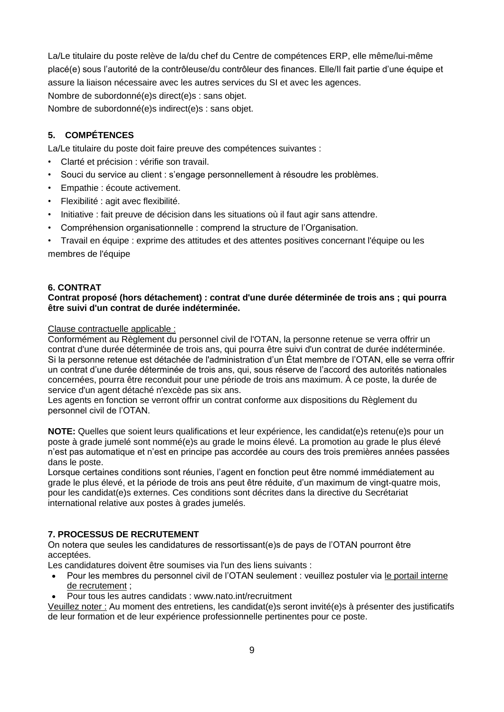La/Le titulaire du poste relève de la/du chef du Centre de compétences ERP, elle même/lui-même placé(e) sous l'autorité de la contrôleuse/du contrôleur des finances. Elle/Il fait partie d'une équipe et assure la liaison nécessaire avec les autres services du SI et avec les agences. Nombre de subordonné(e)s direct(e)s : sans objet.

Nombre de subordonné(e)s indirect(e)s : sans objet.

# **5. COMPÉTENCES**

La/Le titulaire du poste doit faire preuve des compétences suivantes :

- Clarté et précision : vérifie son travail.
- Souci du service au client : s'engage personnellement à résoudre les problèmes.
- Empathie : écoute activement.
- Flexibilité : agit avec flexibilité.
- Initiative : fait preuve de décision dans les situations où il faut agir sans attendre.
- Compréhension organisationnelle : comprend la structure de l'Organisation.
- Travail en équipe : exprime des attitudes et des attentes positives concernant l'équipe ou les membres de l'équipe

### **6. CONTRAT**

### **Contrat proposé (hors détachement) : contrat d'une durée déterminée de trois ans ; qui pourra être suivi d'un contrat de durée indéterminée.**

Clause contractuelle applicable :

Conformément au Règlement du personnel civil de l'OTAN, la personne retenue se verra offrir un contrat d'une durée déterminée de trois ans, qui pourra être suivi d'un contrat de durée indéterminée. Si la personne retenue est détachée de l'administration d'un État membre de l'OTAN, elle se verra offrir un contrat d'une durée déterminée de trois ans, qui, sous réserve de l'accord des autorités nationales concernées, pourra être reconduit pour une période de trois ans maximum. À ce poste, la durée de service d'un agent détaché n'excède pas six ans.

Les agents en fonction se verront offrir un contrat conforme aux dispositions du Règlement du personnel civil de l'OTAN.

**NOTE:** Quelles que soient leurs qualifications et leur expérience, les candidat(e)s retenu(e)s pour un poste à grade jumelé sont nommé(e)s au grade le moins élevé. La promotion au grade le plus élevé n'est pas automatique et n'est en principe pas accordée au cours des trois premières années passées dans le poste.

Lorsque certaines conditions sont réunies, l'agent en fonction peut être nommé immédiatement au grade le plus élevé, et la période de trois ans peut être réduite, d'un maximum de vingt-quatre mois, pour les candidat(e)s externes. Ces conditions sont décrites dans la directive du Secrétariat international relative aux postes à grades jumelés.

### **7. PROCESSUS DE RECRUTEMENT**

On notera que seules les candidatures de ressortissant(e)s de pays de l'OTAN pourront être acceptées.

Les candidatures doivent être soumises via l'un des liens suivants :

- Pour les membres du personnel civil de l'OTAN seulement : veuillez postuler via le portail interne [de recrutement](http://nato.taleo.net/careersection/1/jobsearch.ftl?lang=en) ;
- Pour tous les autres candidats : www.nato.int/recruitment

Veuillez noter : Au moment des entretiens, les candidat(e)s seront invité(e)s à présenter des justificatifs de leur formation et de leur expérience professionnelle pertinentes pour ce poste.